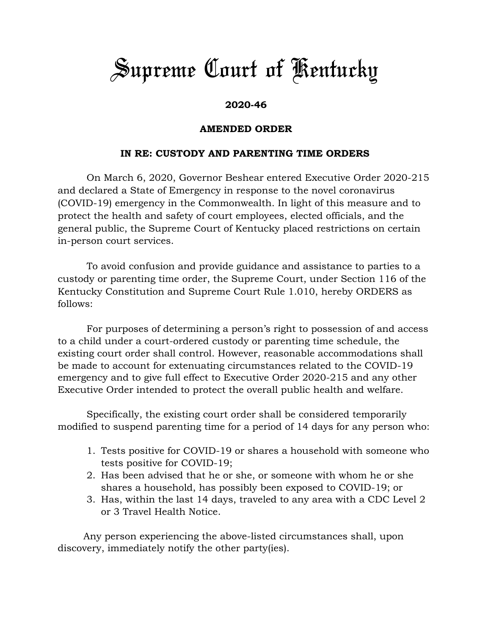## *Supreme Court of Kentucky*

## **2020-46**

## **AMENDED ORDER**

## **IN RE: CUSTODY AND PARENTING TIME ORDERS**

On March 6, 2020, Governor Beshear entered Executive Order 2020-215 and declared a State of Emergency in response to the novel coronavirus (COVID-19) emergency in the Commonwealth. In light of this measure and to protect the health and safety of court employees, elected officials, and the general public, the Supreme Court of Kentucky placed restrictions on certain in-person court services.

To avoid confusion and provide guidance and assistance to parties to a custody or parenting time order, the Supreme Court, under Section 116 of the Kentucky Constitution and Supreme Court Rule 1.010, hereby ORDERS as follows:

For purposes of determining a person's right to possession of and access to a child under a court-ordered custody or parenting time schedule, the existing court order shall control. However, reasonable accommodations shall be made to account for extenuating circumstances related to the COVID-19 emergency and to give full effect to Executive Order 2020-215 and any other Executive Order intended to protect the overall public health and welfare.

Specifically, the existing court order shall be considered temporarily modified to suspend parenting time for a period of 14 days for any person who:

- 1. Tests positive for COVID-19 or shares a household with someone who tests positive for COVID-19;
- 2. Has been advised that he or she, or someone with whom he or she shares a household, has possibly been exposed to COVID-19; or
- 3. Has, within the last 14 days, traveled to any area with a CDC Level 2 or 3 Travel Health Notice.

Any person experiencing the above-listed circumstances shall, upon discovery, immediately notify the other party(ies).